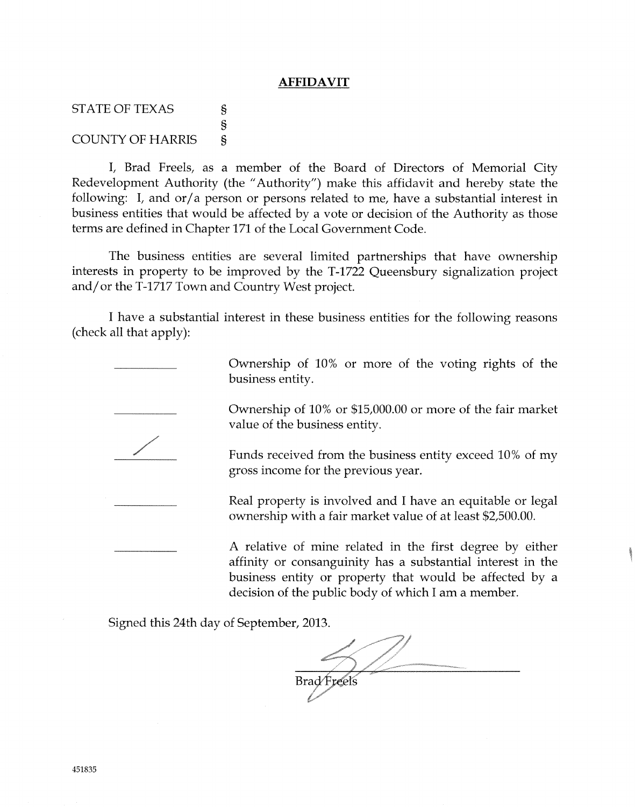## **AFFIDAVIT**

**STATE OF TEXAS** COUNTY OF HARRIS s s s

I, Brad Freels, as a member of the Board of Directors of Memorial City Redevelopment Authority (the "Authority") make this affidavit and hereby state the following: I, and or/a person or persons related to me, have a substantial interest in business entities that would be affected by a vote or decision of the Authority as those terms are defined in Chapter 171 of the Local Government Code.

The business entities are several limited partnerships that have ownership interests in property to be improved by the T-1722 Queensbury signalization project and/ or the  $T-1717$  Town and Country West project.

t have a substantial interest in these business entities for the following reasons (check all that apply):





Ownership of 10% or more of the voting rights of the business entity.

Ownership of 10% or \$15,000.00 or more of the fair market value of the business entity.

Funds received from the business entity exceed 10% of my gross income for the previous year.

Real property is involved and I have an equitable or legal ownership with a {air market value of at least \$2,500.00.

A reiative of mine related in the first degree by either affinity or consanguinity has a substantial interest in the business entity or property that would be affected by <sup>a</sup> decision of the public body of which I am a member.

Signed this 24th day of September, 2013.

Brad Freels